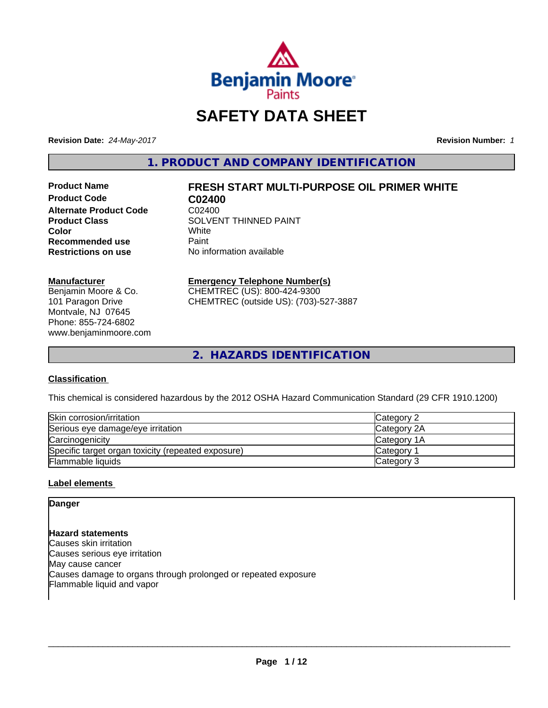

# **SAFETY DATA SHEET**

**Revision Date:** *24-May-2017* **Revision Number:** *1*

**1. PRODUCT AND COMPANY IDENTIFICATION**

**Product Code C02400 Alternate Product Code CO2400**<br>Product Class COLVEN **Recommended use** Paint<br> **Restrictions on use** No inf

# **Product Name FRESH START MULTI-PURPOSE OIL PRIMER WHITE**

**SOLVENT THINNED PAINT**<br>White **Color** White White **No information available** 

### **Manufacturer**

Benjamin Moore & Co. 101 Paragon Drive Montvale, NJ 07645 Phone: 855-724-6802 www.benjaminmoore.com

### **Emergency Telephone Number(s)**

CHEMTREC (US): 800-424-9300 CHEMTREC (outside US): (703)-527-3887

**2. HAZARDS IDENTIFICATION**

### **Classification**

This chemical is considered hazardous by the 2012 OSHA Hazard Communication Standard (29 CFR 1910.1200)

| Skin corrosion/irritation                          | Category 2  |
|----------------------------------------------------|-------------|
| Serious eye damage/eye irritation                  | Category 2A |
| Carcinogenicity                                    | Category 1A |
| Specific target organ toxicity (repeated exposure) | Category 1  |
| Flammable liquids                                  | Category 3  |

### **Label elements**

### **Danger**

**Hazard statements** Causes skin irritation Causes serious eye irritation May cause cancer Causes damage to organs through prolonged or repeated exposure Flammable liquid and vapor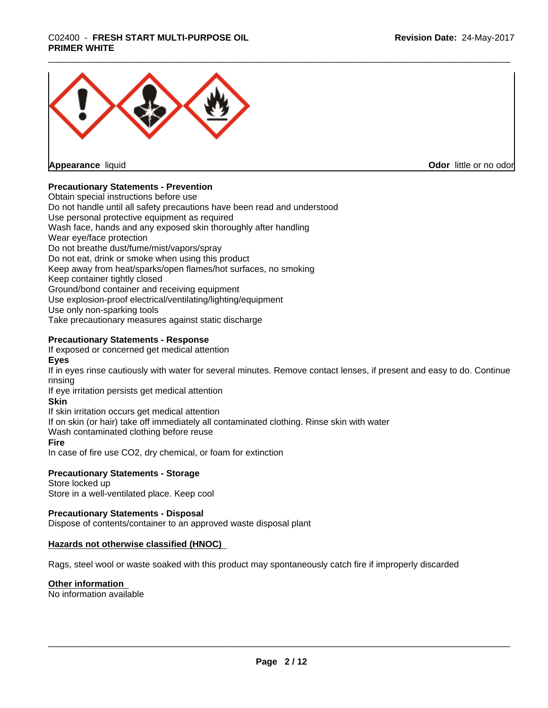

**Appearance** liquid

**Odor** little or no odor

### **Precautionary Statements - Prevention**

Obtain special instructions before use Do not handle until all safety precautions have been read and understood Use personal protective equipment as required Wash face, hands and any exposed skin thoroughly after handling Wear eye/face protection Do not breathe dust/fume/mist/vapors/spray Do not eat, drink or smoke when using this product Keep away from heat/sparks/open flames/hot surfaces, no smoking Keep container tightly closed Ground/bond container and receiving equipment Use explosion-proof electrical/ventilating/lighting/equipment Use only non-sparking tools Take precautionary measures against static discharge

### **Precautionary Statements - Response**

If exposed or concerned get medical attention

**Eyes**

If in eyes rinse cautiously with water for several minutes. Remove contact lenses, if present and easy to do. Continue rinsing

If eye irritation persists get medical attention

### **Skin**

If skin irritation occurs get medical attention

If on skin (or hair) take off immediately all contaminated clothing. Rinse skin with water

Wash contaminated clothing before reuse

### **Fire**

In case of fire use CO2, dry chemical, or foam for extinction

### **Precautionary Statements - Storage**

Store locked up Store in a well-ventilated place. Keep cool

### **Precautionary Statements - Disposal**

Dispose of contents/container to an approved waste disposal plant

### **Hazards not otherwise classified (HNOC)**

Rags, steel wool or waste soaked with this product may spontaneously catch fire if improperly discarded

### **Other information**

No information available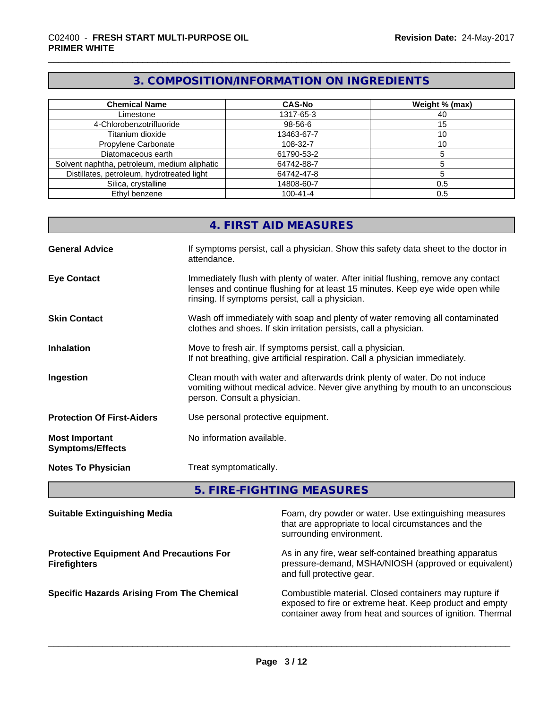# **3. COMPOSITION/INFORMATION ON INGREDIENTS**

| <b>Chemical Name</b>                         | <b>CAS-No</b>  | Weight % (max) |
|----------------------------------------------|----------------|----------------|
| Limestone                                    | 1317-65-3      | 40             |
| 4-Chlorobenzotrifluoride                     | 98-56-6        | ۱5             |
| Titanium dioxide                             | 13463-67-7     |                |
| Propylene Carbonate                          | 108-32-7       |                |
| Diatomaceous earth                           | 61790-53-2     |                |
| Solvent naphtha, petroleum, medium aliphatic | 64742-88-7     |                |
| Distillates, petroleum, hydrotreated light   | 64742-47-8     |                |
| Silica, crystalline                          | 14808-60-7     | 0.5            |
| Ethyl benzene                                | $100 - 41 - 4$ | 0.5            |

|                                                  | 4. FIRST AID MEASURES                                                                                                                                                                                                   |
|--------------------------------------------------|-------------------------------------------------------------------------------------------------------------------------------------------------------------------------------------------------------------------------|
| <b>General Advice</b>                            | If symptoms persist, call a physician. Show this safety data sheet to the doctor in<br>attendance.                                                                                                                      |
| <b>Eye Contact</b>                               | Immediately flush with plenty of water. After initial flushing, remove any contact<br>lenses and continue flushing for at least 15 minutes. Keep eye wide open while<br>rinsing. If symptoms persist, call a physician. |
| <b>Skin Contact</b>                              | Wash off immediately with soap and plenty of water removing all contaminated<br>clothes and shoes. If skin irritation persists, call a physician.                                                                       |
| <b>Inhalation</b>                                | Move to fresh air. If symptoms persist, call a physician.<br>If not breathing, give artificial respiration. Call a physician immediately.                                                                               |
| Ingestion                                        | Clean mouth with water and afterwards drink plenty of water. Do not induce<br>vomiting without medical advice. Never give anything by mouth to an unconscious<br>person. Consult a physician.                           |
| <b>Protection Of First-Aiders</b>                | Use personal protective equipment.                                                                                                                                                                                      |
| <b>Most Important</b><br><b>Symptoms/Effects</b> | No information available.                                                                                                                                                                                               |
| <b>Notes To Physician</b>                        | Treat symptomatically.                                                                                                                                                                                                  |

**5. FIRE-FIGHTING MEASURES**

| <b>Suitable Extinguishing Media</b>                                    | Foam, dry powder or water. Use extinguishing measures<br>that are appropriate to local circumstances and the<br>surrounding environment.                                       |
|------------------------------------------------------------------------|--------------------------------------------------------------------------------------------------------------------------------------------------------------------------------|
| <b>Protective Equipment And Precautions For</b><br><b>Firefighters</b> | As in any fire, wear self-contained breathing apparatus<br>pressure-demand, MSHA/NIOSH (approved or equivalent)<br>and full protective gear.                                   |
| <b>Specific Hazards Arising From The Chemical</b>                      | Combustible material. Closed containers may rupture if<br>exposed to fire or extreme heat. Keep product and empty<br>container away from heat and sources of ignition. Thermal |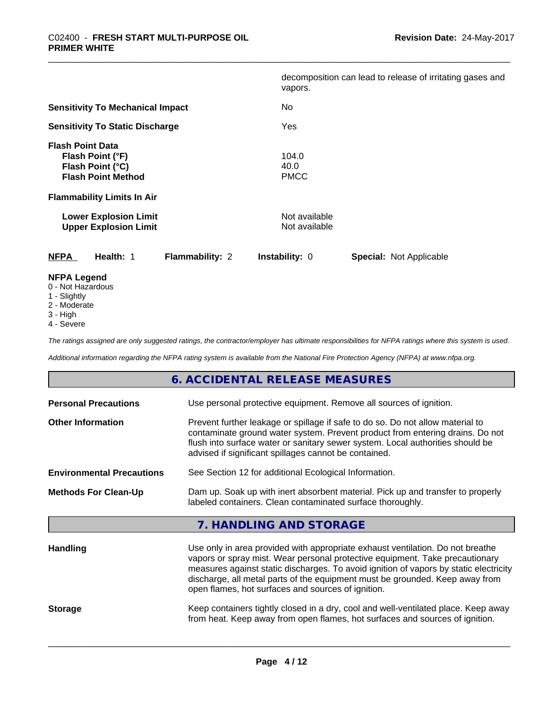|                                                                                                                              | decomposition can lead to release of irritating gases and<br>vapors. |
|------------------------------------------------------------------------------------------------------------------------------|----------------------------------------------------------------------|
| <b>Sensitivity To Mechanical Impact</b>                                                                                      | No.                                                                  |
| <b>Sensitivity To Static Discharge</b>                                                                                       | Yes                                                                  |
| <b>Flash Point Data</b><br>Flash Point (°F)<br>Flash Point (°C)<br><b>Flash Point Method</b>                                 | 104.0<br>40.0<br><b>PMCC</b>                                         |
| <b>Flammability Limits In Air</b>                                                                                            |                                                                      |
| <b>Lower Explosion Limit</b><br><b>Upper Explosion Limit</b>                                                                 | Not available<br>Not available                                       |
| <b>NFPA</b><br>Health: 1<br><b>Flammability: 2</b>                                                                           | <b>Special: Not Applicable</b><br><b>Instability: 0</b>              |
| <b>NFPA Legend</b><br>$\bigcap$ <b>N</b> Let $\bigcup$ $\bigcup$ $\bigcup$ $\bigcup$ $\bigcup$ $\bigcup$ $\bigcup$ $\bigcup$ |                                                                      |

- 0 Not Hazardous
- 1 Slightly
- 2 Moderate
- 3 High
- 4 Severe

*The ratings assigned are only suggested ratings, the contractor/employer has ultimate responsibilities for NFPA ratings where this system is used.*

*Additional information regarding the NFPA rating system is available from the National Fire Protection Agency (NFPA) at www.nfpa.org.*

|                                  | 6. ACCIDENTAL RELEASE MEASURES                                                                                                                                                                                                                                                                                                                                                                |
|----------------------------------|-----------------------------------------------------------------------------------------------------------------------------------------------------------------------------------------------------------------------------------------------------------------------------------------------------------------------------------------------------------------------------------------------|
| <b>Personal Precautions</b>      | Use personal protective equipment. Remove all sources of ignition.                                                                                                                                                                                                                                                                                                                            |
| <b>Other Information</b>         | Prevent further leakage or spillage if safe to do so. Do not allow material to<br>contaminate ground water system. Prevent product from entering drains. Do not<br>flush into surface water or sanitary sewer system. Local authorities should be<br>advised if significant spillages cannot be contained.                                                                                    |
| <b>Environmental Precautions</b> | See Section 12 for additional Ecological Information.                                                                                                                                                                                                                                                                                                                                         |
| <b>Methods For Clean-Up</b>      | Dam up. Soak up with inert absorbent material. Pick up and transfer to properly<br>labeled containers. Clean contaminated surface thoroughly.                                                                                                                                                                                                                                                 |
|                                  | 7. HANDLING AND STORAGE                                                                                                                                                                                                                                                                                                                                                                       |
| <b>Handling</b>                  | Use only in area provided with appropriate exhaust ventilation. Do not breathe<br>vapors or spray mist. Wear personal protective equipment. Take precautionary<br>measures against static discharges. To avoid ignition of vapors by static electricity<br>discharge, all metal parts of the equipment must be grounded. Keep away from<br>open flames, hot surfaces and sources of ignition. |
| <b>Storage</b>                   | Keep containers tightly closed in a dry, cool and well-ventilated place. Keep away<br>from heat. Keep away from open flames, hot surfaces and sources of ignition.                                                                                                                                                                                                                            |
|                                  |                                                                                                                                                                                                                                                                                                                                                                                               |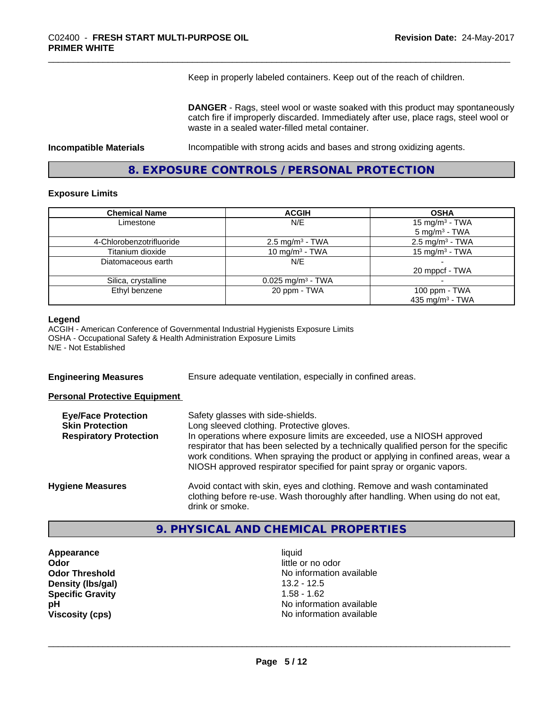Keep in properly labeled containers. Keep out of the reach of children.

**DANGER** - Rags, steel wool or waste soaked with this product may spontaneously catch fire if improperly discarded. Immediately after use, place rags, steel wool or waste in a sealed water-filled metal container.

**Incompatible Materials Incompatible with strong acids and bases and strong oxidizing agents.** 

**8. EXPOSURE CONTROLS / PERSONAL PROTECTION**

### **Exposure Limits**

| <b>Chemical Name</b>     | <b>ACGIH</b>                    | <b>OSHA</b>                 |
|--------------------------|---------------------------------|-----------------------------|
| Limestone                | N/E                             | 15 mg/m $3$ - TWA           |
|                          |                                 | $5 \text{ mg/m}^3$ - TWA    |
| 4-Chlorobenzotrifluoride | $2.5 \text{ mg/m}^3$ - TWA      | $2.5 \text{ mg/m}^3$ - TWA  |
| Titanium dioxide         | 10 mg/m $3$ - TWA               | 15 mg/m $3$ - TWA           |
| Diatomaceous earth       | N/E                             |                             |
|                          |                                 | 20 mppcf - TWA              |
| Silica, crystalline      | $0.025$ mg/m <sup>3</sup> - TWA |                             |
| Ethyl benzene            | 20 ppm - TWA                    | 100 ppm - TWA               |
|                          |                                 | 435 mg/m <sup>3</sup> - TWA |

#### **Legend**

ACGIH - American Conference of Governmental Industrial Hygienists Exposure Limits OSHA - Occupational Safety & Health Administration Exposure Limits N/E - Not Established

**Engineering Measures** Ensure adequate ventilation, especially in confined areas.

### **Personal Protective Equipment**

| <b>Eye/Face Protection</b><br><b>Skin Protection</b><br><b>Respiratory Protection</b> | Safety glasses with side-shields.<br>Long sleeved clothing. Protective gloves.<br>In operations where exposure limits are exceeded, use a NIOSH approved<br>respirator that has been selected by a technically qualified person for the specific<br>work conditions. When spraying the product or applying in confined areas, wear a<br>NIOSH approved respirator specified for paint spray or organic vapors. |
|---------------------------------------------------------------------------------------|----------------------------------------------------------------------------------------------------------------------------------------------------------------------------------------------------------------------------------------------------------------------------------------------------------------------------------------------------------------------------------------------------------------|
| <b>Hygiene Measures</b>                                                               | Avoid contact with skin, eyes and clothing. Remove and wash contaminated<br>clothing before re-use. Wash thoroughly after handling. When using do not eat,<br>drink or smoke.                                                                                                                                                                                                                                  |

### **9. PHYSICAL AND CHEMICAL PROPERTIES**

**Appearance** liquid **Odor Odor Odor Odor Odor** *CODOR CODOR CODOR CODOR CODOR CODOR CODOR CODOR CODOR CODOR CODOR CODOR CODOR CODOR CODOR CODOR CODOR CODOR CODOR* **Density (Ibs/gal)** 13.2 - 12.5<br> **Specific Gravity** 1.58 - 1.62 **Specific Gravity** 

**Odor Threshold** No information available **pH pH**  $\blacksquare$ **Viscosity (cps)** No information available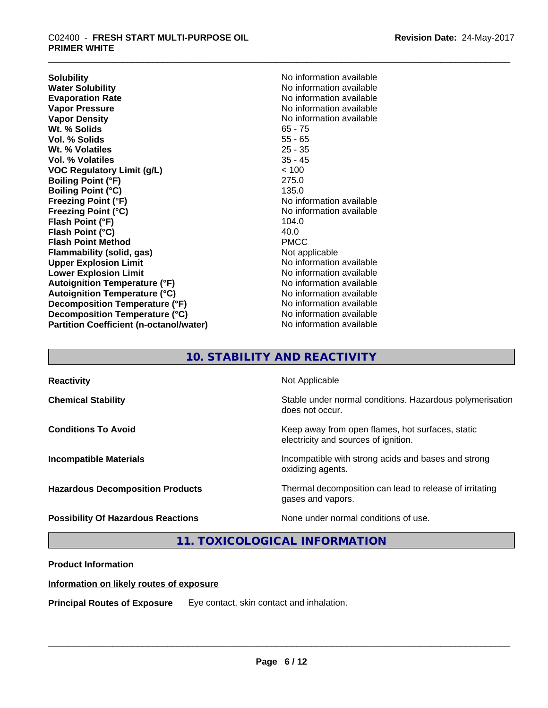**Solubility**<br> **No** information available<br> **Water Solubility**<br> **No** information available **Water Solubility**<br> **Evaporation Rate**<br> **Evaporation Rate**<br> **Evaporation Rate Vapor Pressure**<br> **Vapor Density**<br> **Vapor Density**<br> **Vapor Density**<br> **Vapor Algebra Algebra Algebra Algebra Algebra Algebra Algebra Algebra Algebra Algebra Algebra Algebra Algebra Algebra Algebra Algebra Algebra Algebra Al** Wt. % Solids **Vol. % Solids** 55 - 65 **Wt. % Volatiles** 25 - 35 **Vol. % Volatiles VOC Regulatory Limit (g/L)** < 100 **Boiling Point (°F)** 275.0 **Boiling Point (°C)** 135.0 **Freezing Point (°F)**<br> **Freezing Point (°C)**<br> **Freezing Point (°C)**<br> **No information available Flash Point (°F)** 104.0 **Flash Point (°C)** 40.0 **Flash Point Method Flammability (solid, gas)** Not applicable **Upper Explosion Limit**<br> **Lower Explosion Limit**<br> **Lower Explosion Limit** (No information available) **Lower Explosion Limit Autoignition Temperature (°F)** No information available **Autoignition Temperature (°C)** No information available **Decomposition Temperature (°F)** No information available **Decomposition Temperature (°C)** No information available **Partition Coefficient (n-octanol/water)** No information available

**Evaporation Rate** No information available **No information available**<br>65 - 75 **Freezing Point (°C)** No information available

# **10. STABILITY AND REACTIVITY**

| <b>Reactivity</b>                         | Not Applicable                                                                           |
|-------------------------------------------|------------------------------------------------------------------------------------------|
| <b>Chemical Stability</b>                 | Stable under normal conditions. Hazardous polymerisation<br>does not occur.              |
| <b>Conditions To Avoid</b>                | Keep away from open flames, hot surfaces, static<br>electricity and sources of ignition. |
| <b>Incompatible Materials</b>             | Incompatible with strong acids and bases and strong<br>oxidizing agents.                 |
| <b>Hazardous Decomposition Products</b>   | Thermal decomposition can lead to release of irritating<br>gases and vapors.             |
| <b>Possibility Of Hazardous Reactions</b> | None under normal conditions of use.                                                     |

### **11. TOXICOLOGICAL INFORMATION**

### **Product Information**

### **Information on likely routes of exposure**

**Principal Routes of Exposure** Eye contact, skin contact and inhalation.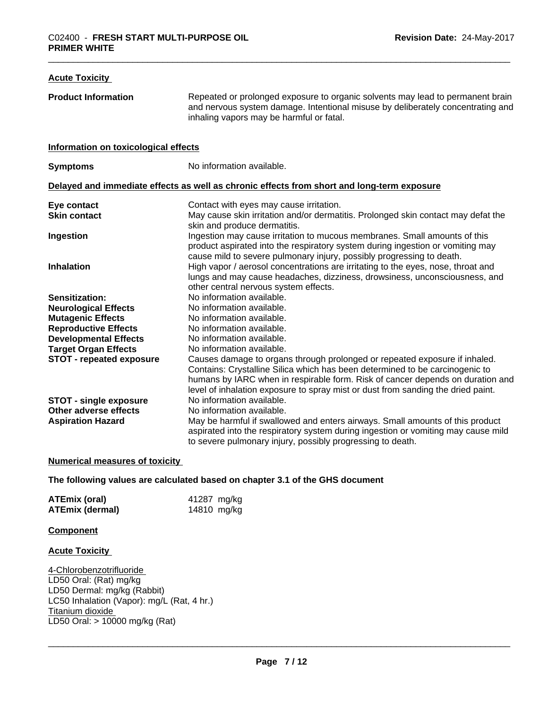### **Acute Toxicity Product Information** Repeated or prolonged exposure to organic solvents may lead to permanent brain and nervous system damage. Intentional misuse by deliberately concentrating and inhaling vapors may be harmful or fatal. **Information on toxicological effects Symptoms** No information available. **Delayed and immediate effects as well as chronic effects from short and long-term exposure Eye contact** Contact With eyes may cause irritation. **Skin contact** May cause skin irritation and/or dermatitis. Prolonged skin contact may defat the skin and produce dermatitis. **Ingestion Ingestion may cause irritation to mucous membranes. Small amounts of this** product aspirated into the respiratory system during ingestion or vomiting may cause mild to severe pulmonary injury, possibly progressing to death. **Inhalation High vapor / aerosol concentrations are irritating to the eyes, nose, throat and** lungs and may cause headaches, dizziness, drowsiness, unconsciousness, and other central nervous system effects. **Sensitization:** No information available. **Neurological Effects** No information available. **Mutagenic Effects** No information available. **Reproductive Effects** No information available.<br> **Developmental Effects** No information available. **Developmental Effects Target Organ Effects** No information available. **STOT - repeated exposure** Causes damage to organs through prolonged or repeated exposure if inhaled. Contains: Crystalline Silica which has been determined to be carcinogenic to humans by IARC when in respirable form. Risk of cancer depends on duration and level of inhalation exposure to spray mist or dust from sanding the dried paint. **STOT** - **single exposure** No information available. **Other adverse effects** No information available. **Aspiration Hazard** May be harmful if swallowed and enters airways. Small amounts of this product aspirated into the respiratory system during ingestion or vomiting may cause mild to severe pulmonary injury, possibly progressing to death.

### **Numerical measures of toxicity**

### **The following values are calculated based on chapter 3.1 of the GHS document**

| <b>ATEmix (oral)</b> | 41287 mg/kg |
|----------------------|-------------|
| ATEmix (dermal)      | 14810 mg/kg |

### **Component**

### **Acute Toxicity**

4-Chlorobenzotrifluoride LD50 Oral: (Rat) mg/kg LD50 Dermal: mg/kg (Rabbit) LC50 Inhalation (Vapor): mg/L (Rat, 4 hr.) Titanium dioxide LD50 Oral: > 10000 mg/kg (Rat)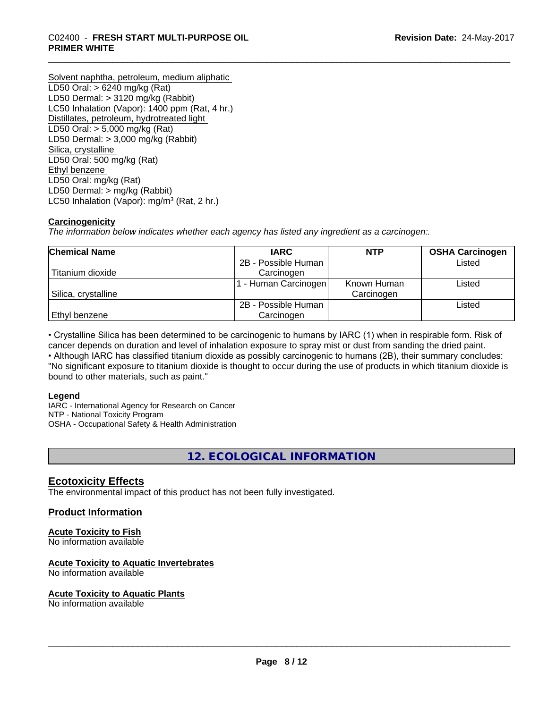Solvent naphtha, petroleum, medium aliphatic LD50 Oral: > 6240 mg/kg (Rat) LD50 Dermal: > 3120 mg/kg (Rabbit) LC50 Inhalation (Vapor): 1400 ppm (Rat, 4 hr.) Distillates, petroleum, hydrotreated light LD50 Oral: > 5,000 mg/kg (Rat) LD50 Dermal: > 3,000 mg/kg (Rabbit) Silica, crystalline LD50 Oral: 500 mg/kg (Rat) Ethyl benzene LD50 Oral: mg/kg (Rat) LD50 Dermal: > mg/kg (Rabbit) LC50 Inhalation (Vapor): mg/m<sup>3</sup> (Rat, 2 hr.)

### **Carcinogenicity**

*The information below indicateswhether each agency has listed any ingredient as a carcinogen:.*

| <b>Chemical Name</b> | <b>IARC</b>          | <b>NTP</b>  | <b>OSHA Carcinogen</b> |
|----------------------|----------------------|-------------|------------------------|
|                      | 2B - Possible Human  |             | Listed                 |
| Titanium dioxide     | Carcinogen           |             |                        |
|                      | 1 - Human Carcinogen | Known Human | Listed                 |
| Silica, crystalline  |                      | Carcinogen  |                        |
|                      | 2B - Possible Human  |             | Listed                 |
| Ethyl benzene        | Carcinogen           |             |                        |

• Crystalline Silica has been determined to be carcinogenic to humans by IARC (1) when in respirable form. Risk of cancer depends on duration and level of inhalation exposure to spray mist or dust from sanding the dried paint.• Although IARC has classified titanium dioxide as possibly carcinogenic to humans (2B), their summary concludes: "No significant exposure to titanium dioxide is thought to occur during the use of products in which titanium dioxide is bound to other materials, such as paint."

### **Legend**

IARC - International Agency for Research on Cancer NTP - National Toxicity Program OSHA - Occupational Safety & Health Administration

**12. ECOLOGICAL INFORMATION**

### **Ecotoxicity Effects**

The environmental impact of this product has not been fully investigated.

### **Product Information**

### **Acute Toxicity to Fish**

No information available

### **Acute Toxicity to Aquatic Invertebrates**

No information available

### **Acute Toxicity to Aquatic Plants**

No information available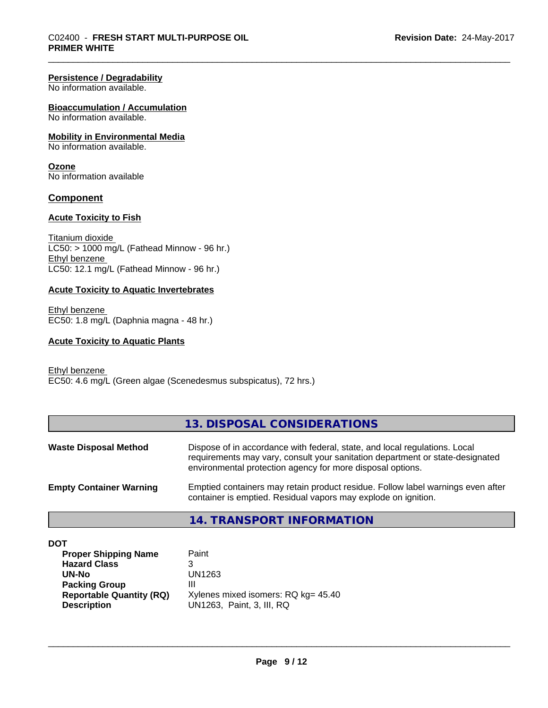### **Persistence / Degradability**

No information available.

### **Bioaccumulation / Accumulation**

No information available.

### **Mobility in Environmental Media**

No information available.

### **Ozone**

No information available

### **Component**

### **Acute Toxicity to Fish**

Titanium dioxide  $LC50:$  > 1000 mg/L (Fathead Minnow - 96 hr.) Ethyl benzene LC50: 12.1 mg/L (Fathead Minnow - 96 hr.)

### **Acute Toxicity to Aquatic Invertebrates**

Ethyl benzene EC50: 1.8 mg/L (Daphnia magna - 48 hr.)

### **Acute Toxicity to Aquatic Plants**

Ethyl benzene EC50: 4.6 mg/L (Green algae (Scenedesmus subspicatus), 72 hrs.)

|                                | 13. DISPOSAL CONSIDERATIONS                                                                                                                                                                                               |
|--------------------------------|---------------------------------------------------------------------------------------------------------------------------------------------------------------------------------------------------------------------------|
| <b>Waste Disposal Method</b>   | Dispose of in accordance with federal, state, and local regulations. Local<br>requirements may vary, consult your sanitation department or state-designated<br>environmental protection agency for more disposal options. |
| <b>Empty Container Warning</b> | Emptied containers may retain product residue. Follow label warnings even after<br>container is emptied. Residual vapors may explode on ignition.                                                                         |
|                                | 14. TRANSPORT INFORMATION                                                                                                                                                                                                 |

| <b>DOT</b>                      |                                     |
|---------------------------------|-------------------------------------|
| <b>Proper Shipping Name</b>     | Paint                               |
| <b>Hazard Class</b>             | 3                                   |
| UN-No                           | UN1263                              |
| <b>Packing Group</b>            | Ш                                   |
| <b>Reportable Quantity (RQ)</b> | Xylenes mixed isomers: RQ kg= 45.40 |
| <b>Description</b>              | UN1263, Paint, 3, III, RQ           |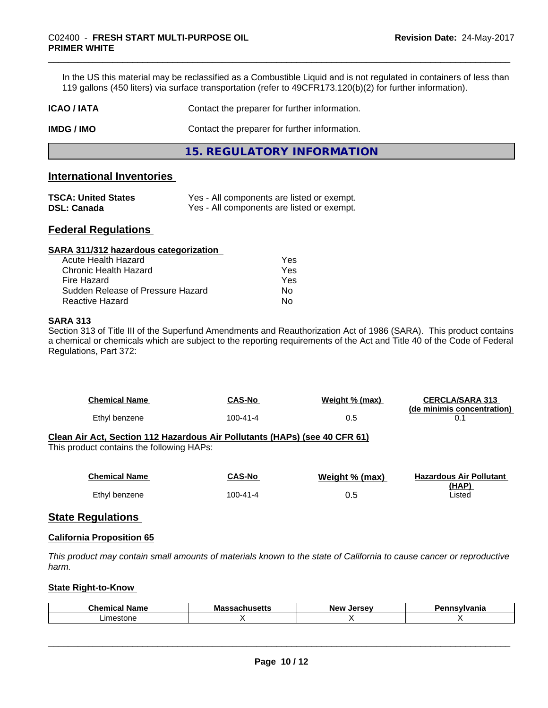In the US this material may be reclassified as a Combustible Liquid and is not regulated in containers of less than 119 gallons (450 liters) via surface transportation (refer to 49CFR173.120(b)(2) for further information).

| ICAO / IATA | Contact the preparer for further information. |
|-------------|-----------------------------------------------|
|             |                                               |

**IMDG / IMO** Contact the preparer for further information.

**15. REGULATORY INFORMATION**

### **International Inventories**

| <b>TSCA: United States</b> | Yes - All components are listed or exempt. |
|----------------------------|--------------------------------------------|
| <b>DSL: Canada</b>         | Yes - All components are listed or exempt. |

### **Federal Regulations**

| Yes |  |
|-----|--|
| Yes |  |
| Yes |  |
| Nο  |  |
| No  |  |
|     |  |

### **SARA 313**

Section 313 of Title III of the Superfund Amendments and Reauthorization Act of 1986 (SARA). This product contains a chemical or chemicals which are subject to the reporting requirements of the Act and Title 40 of the Code of Federal Regulations, Part 372:

| <b>Chemical Name</b> | <b>CAS-No</b> | Weight % (max) | <b>CERCLA/SARA 313</b>     |
|----------------------|---------------|----------------|----------------------------|
|                      |               |                | (de minimis concentration) |
| Ethyl benzene        | 100-41-4      |                |                            |

### **Clean Air Act,Section 112 Hazardous Air Pollutants (HAPs) (see 40 CFR 61)**

This product contains the following HAPs:

| <b>Chemical Name</b> | CAS-No         | Weight % (max) | <b>Hazardous Air Pollutant</b><br>(HAP) |
|----------------------|----------------|----------------|-----------------------------------------|
| Ethyl benzene        | $100 - 41 - 4$ | 0.5            | Listed                                  |

### **State Regulations**

### **California Proposition 65**

This product may contain small amounts of materials known to the state of California to cause cancer or reproductive *harm.*

### **State Right-to-Know**

| Chemica<br>name | Ma:<br>เจจαบแนวចแว | lorcov<br><b>Nev</b><br>JEI SE | <b>sylvania</b> |
|-----------------|--------------------|--------------------------------|-----------------|
| _imeston        |                    |                                |                 |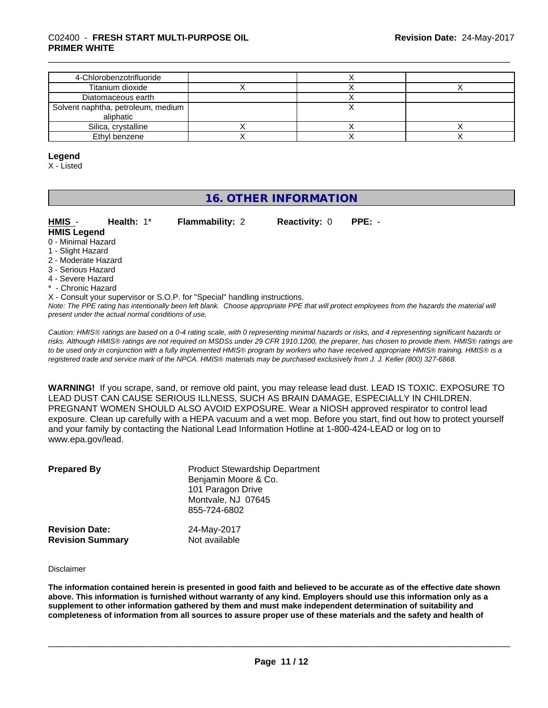| 4-Chlorobenzotrifluoride                        |  |  |
|-------------------------------------------------|--|--|
| Titanium dioxide                                |  |  |
| Diatomaceous earth                              |  |  |
| Solvent naphtha, petroleum, medium<br>aliphatic |  |  |
| Silica, crystalline                             |  |  |
| Ethyl benzene                                   |  |  |

### **Legend**

X - Listed

# **16. OTHER INFORMATION**

| HMIS -<br><b>HMIS Legend</b> | Health: $1^*$ | <b>Flammability: 2</b> | <b>Reactivity: 0</b> | PPE: - |  |
|------------------------------|---------------|------------------------|----------------------|--------|--|
| 0 - Minimal Hazard           |               |                        |                      |        |  |
| 1 - Slight Hazard            |               |                        |                      |        |  |
| 2 - Moderate Hazard          |               |                        |                      |        |  |

- 3 Serious Hazard
- 
- 4 Severe Hazard
- \* Chronic Hazard
- X Consult your supervisor or S.O.P. for "Special" handling instructions.

*Note: The PPE rating has intentionally been left blank. Choose appropriate PPE that will protect employees from the hazards the material will present under the actual normal conditions of use.*

*Caution: HMISÒ ratings are based on a 0-4 rating scale, with 0 representing minimal hazards or risks, and 4 representing significant hazards or risks. Although HMISÒ ratings are not required on MSDSs under 29 CFR 1910.1200, the preparer, has chosen to provide them. HMISÒ ratings are to be used only in conjunction with a fully implemented HMISÒ program by workers who have received appropriate HMISÒ training. HMISÒ is a registered trade and service mark of the NPCA. HMISÒ materials may be purchased exclusively from J. J. Keller (800) 327-6868.*

**WARNING!** If you scrape, sand, or remove old paint, you may release lead dust. LEAD IS TOXIC. EXPOSURE TO LEAD DUST CAN CAUSE SERIOUS ILLNESS, SUCH AS BRAIN DAMAGE, ESPECIALLY IN CHILDREN. PREGNANT WOMEN SHOULD ALSO AVOID EXPOSURE.Wear a NIOSH approved respirator to control lead exposure. Clean up carefully with a HEPA vacuum and a wet mop. Before you start, find out how to protect yourself and your family by contacting the National Lead Information Hotline at 1-800-424-LEAD or log on to www.epa.gov/lead.

| <b>Prepared By</b>      | <b>Product Stewardship Department</b><br>Benjamin Moore & Co.<br>101 Paragon Drive<br>Montvale, NJ 07645<br>855-724-6802 |
|-------------------------|--------------------------------------------------------------------------------------------------------------------------|
| <b>Revision Date:</b>   | 24-May-2017                                                                                                              |
| <b>Revision Summary</b> | Not available                                                                                                            |

#### Disclaimer

The information contained herein is presented in good faith and believed to be accurate as of the effective date shown above. This information is furnished without warranty of any kind. Employers should use this information only as a **supplement to other information gathered by them and must make independent determination of suitability and** completeness of information from all sources to assure proper use of these materials and the safety and health of